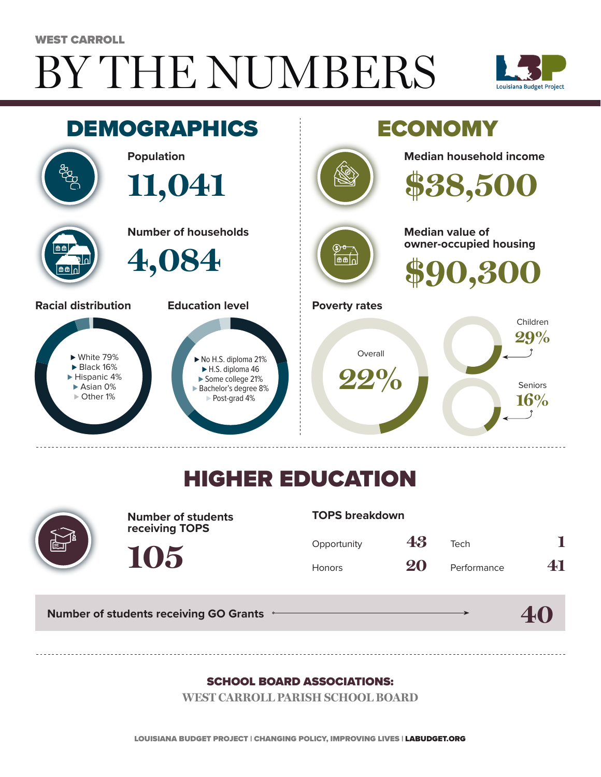# BY THE NUMBERS WEST CARROLL





## HIGHER EDUCATION



**Number of students receiving TOPS**

#### **TOPS breakdown**

| Opportunity   | 43 | Tech        |    |
|---------------|----|-------------|----|
| <b>Honors</b> | 20 | Performance | 41 |

**40**

**Number of students receiving GO Grants**

**105**

#### SCHOOL BOARD ASSOCIATIONS:

**WEST CARROLL PARISH SCHOOL BOARD**